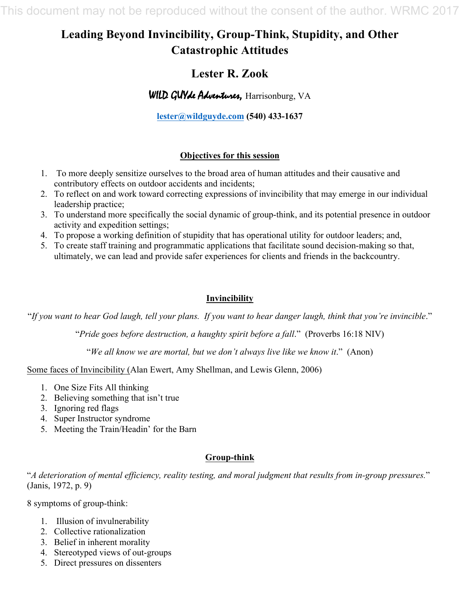This document may not be reproduced without the consent of the author. WRMC 2017

# **Leading Beyond Invincibility, Group-Think, Stupidity, and Other Catastrophic Attitudes**

## **Lester R. Zook**

WILD GUY de Adventures, Harrisonburg, VA

**lester@wildguyde.com (540) 433-1637**

## **Objectives for this session**

- 1. To more deeply sensitize ourselves to the broad area of human attitudes and their causative and contributory effects on outdoor accidents and incidents;
- 2. To reflect on and work toward correcting expressions of invincibility that may emerge in our individual leadership practice;
- 3. To understand more specifically the social dynamic of group-think, and its potential presence in outdoor activity and expedition settings;
- 4. To propose a working definition of stupidity that has operational utility for outdoor leaders; and,
- 5. To create staff training and programmatic applications that facilitate sound decision-making so that, ultimately, we can lead and provide safer experiences for clients and friends in the backcountry.

## **Invincibility**

"*If you want to hear God laugh, tell your plans. If you want to hear danger laugh, think that you're invincible*."

"*Pride goes before destruction, a haughty spirit before a fall*." (Proverbs 16:18 NIV)

"*We all know we are mortal, but we don't always live like we know it*." (Anon)

Some faces of Invincibility (Alan Ewert, Amy Shellman, and Lewis Glenn, 2006)

- 1. One Size Fits All thinking
- 2. Believing something that isn't true
- 3. Ignoring red flags
- 4. Super Instructor syndrome
- 5. Meeting the Train/Headin' for the Barn

### **Group-think**

"*A deterioration of mental efficiency, reality testing, and moral judgment that results from in-group pressures.*" (Janis, 1972, p. 9)

8 symptoms of group-think:

- 1. Illusion of invulnerability
- 2. Collective rationalization
- 3. Belief in inherent morality
- 4. Stereotyped views of out-groups
- 5. Direct pressures on dissenters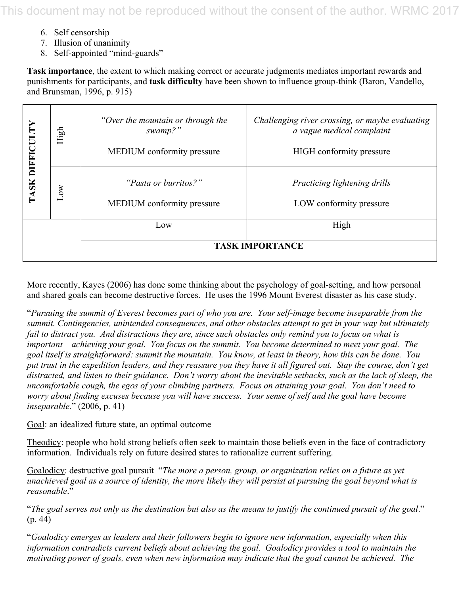This document may not be reproduced without the consent of the author. WRMC 2017

- 6. Self censorship
- 7. Illusion of unanimity
- 8. Self-appointed "mind-guards"

**Task importance**, the extent to which making correct or accurate judgments mediates important rewards and punishments for participants, and **task difficulty** have been shown to influence group-think (Baron, Vandello, and Brunsman, 1996, p. 915)

| <b>DIFFICU</b> | High | "Over the mountain or through the<br>swamp?"<br><b>MEDIUM</b> conformity pressure | Challenging river crossing, or maybe evaluating<br>a vague medical complaint<br><b>HIGH</b> conformity pressure |
|----------------|------|-----------------------------------------------------------------------------------|-----------------------------------------------------------------------------------------------------------------|
| TASK           | Low  | "Pasta or burritos?"<br>MEDIUM conformity pressure                                | Practicing lightening drills<br>LOW conformity pressure                                                         |
|                |      | Low                                                                               | High                                                                                                            |
|                |      | <b>TASK IMPORTANCE</b>                                                            |                                                                                                                 |

More recently, Kayes (2006) has done some thinking about the psychology of goal-setting, and how personal and shared goals can become destructive forces. He uses the 1996 Mount Everest disaster as his case study.

"*Pursuing the summit of Everest becomes part of who you are. Your self-image become inseparable from the summit. Contingencies, unintended consequences, and other obstacles attempt to get in your way but ultimately fail to distract you. And distractions they are, since such obstacles only remind you to focus on what is important – achieving your goal. You focus on the summit. You become determined to meet your goal. The goal itself is straightforward: summit the mountain. You know, at least in theory, how this can be done. You put trust in the expedition leaders, and they reassure you they have it all figured out. Stay the course, don't get distracted, and listen to their guidance. Don't worry about the inevitable setbacks, such as the lack of sleep, the uncomfortable cough, the egos of your climbing partners. Focus on attaining your goal. You don't need to worry about finding excuses because you will have success. Your sense of self and the goal have become inseparable.*" (2006, p. 41)

Goal: an idealized future state, an optimal outcome

Theodicy: people who hold strong beliefs often seek to maintain those beliefs even in the face of contradictory information. Individuals rely on future desired states to rationalize current suffering.

Goalodicy: destructive goal pursuit "*The more a person, group, or organization relies on a future as yet unachieved goal as a source of identity, the more likely they will persist at pursuing the goal beyond what is reasonable*."

"*The goal serves not only as the destination but also as the means to justify the continued pursuit of the goal*." (p. 44)

"*Goalodicy emerges as leaders and their followers begin to ignore new information, especially when this information contradicts current beliefs about achieving the goal. Goalodicy provides a tool to maintain the motivating power of goals, even when new information may indicate that the goal cannot be achieved. The*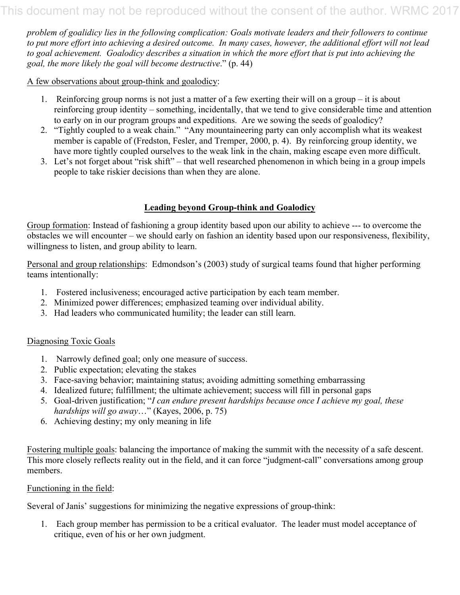*problem of goalidicy lies in the following complication: Goals motivate leaders and their followers to continue to put more effort into achieving a desired outcome. In many cases, however, the additional effort will not lead to goal achievement. Goalodicy describes a situation in which the more effort that is put into achieving the goal, the more likely the goal will become destructive*." (p. 44)

A few observations about group-think and goalodicy:

- 1. Reinforcing group norms is not just a matter of a few exerting their will on a group it is about reinforcing group identity – something, incidentally, that we tend to give considerable time and attention to early on in our program groups and expeditions. Are we sowing the seeds of goalodicy?
- 2. "Tightly coupled to a weak chain." "Any mountaineering party can only accomplish what its weakest member is capable of (Fredston, Fesler, and Tremper, 2000, p. 4). By reinforcing group identity, we have more tightly coupled ourselves to the weak link in the chain, making escape even more difficult.
- 3. Let's not forget about "risk shift" that well researched phenomenon in which being in a group impels people to take riskier decisions than when they are alone.

#### **Leading beyond Group-think and Goalodicy**

Group formation: Instead of fashioning a group identity based upon our ability to achieve --- to overcome the obstacles we will encounter – we should early on fashion an identity based upon our responsiveness, flexibility, willingness to listen, and group ability to learn.

Personal and group relationships: Edmondson's (2003) study of surgical teams found that higher performing teams intentionally:

- 1. Fostered inclusiveness; encouraged active participation by each team member.
- 2. Minimized power differences; emphasized teaming over individual ability.
- 3. Had leaders who communicated humility; the leader can still learn.

#### Diagnosing Toxic Goals

- 1. Narrowly defined goal; only one measure of success.
- 2. Public expectation; elevating the stakes
- 3. Face-saving behavior; maintaining status; avoiding admitting something embarrassing
- 4. Idealized future; fulfillment; the ultimate achievement; success will fill in personal gaps
- 5. Goal-driven justification; "*I can endure present hardships because once I achieve my goal, these hardships will go away*…" (Kayes, 2006, p. 75)
- 6. Achieving destiny; my only meaning in life

Fostering multiple goals: balancing the importance of making the summit with the necessity of a safe descent. This more closely reflects reality out in the field, and it can force "judgment-call" conversations among group members.

#### Functioning in the field:

Several of Janis' suggestions for minimizing the negative expressions of group-think:

1. Each group member has permission to be a critical evaluator. The leader must model acceptance of critique, even of his or her own judgment.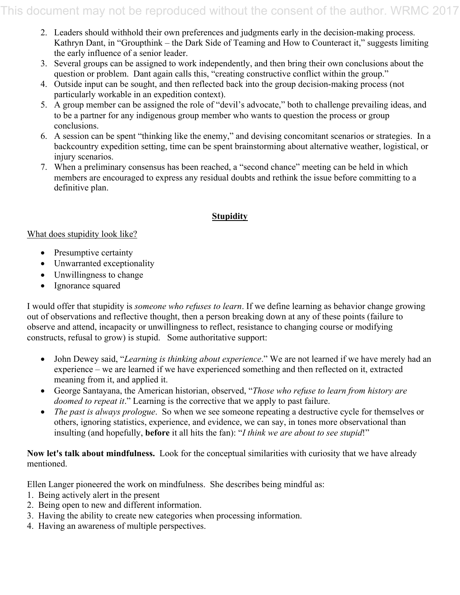- 2. Leaders should withhold their own preferences and judgments early in the decision-making process. Kathryn Dant, in "Groupthink – the Dark Side of Teaming and How to Counteract it," suggests limiting the early influence of a senior leader.
- 3. Several groups can be assigned to work independently, and then bring their own conclusions about the question or problem. Dant again calls this, "creating constructive conflict within the group."
- 4. Outside input can be sought, and then reflected back into the group decision-making process (not particularly workable in an expedition context).
- 5. A group member can be assigned the role of "devil's advocate," both to challenge prevailing ideas, and to be a partner for any indigenous group member who wants to question the process or group conclusions.
- 6. A session can be spent "thinking like the enemy," and devising concomitant scenarios or strategies. In a backcountry expedition setting, time can be spent brainstorming about alternative weather, logistical, or injury scenarios.
- 7. When a preliminary consensus has been reached, a "second chance" meeting can be held in which members are encouraged to express any residual doubts and rethink the issue before committing to a definitive plan.

#### **Stupidity**

#### What does stupidity look like?

- Presumptive certainty
- Unwarranted exceptionality
- Unwillingness to change
- Ignorance squared

I would offer that stupidity is *someone who refuses to learn*. If we define learning as behavior change growing out of observations and reflective thought, then a person breaking down at any of these points (failure to observe and attend, incapacity or unwillingness to reflect, resistance to changing course or modifying constructs, refusal to grow) is stupid. Some authoritative support:

- John Dewey said, "*Learning is thinking about experience*." We are not learned if we have merely had an experience – we are learned if we have experienced something and then reflected on it, extracted meaning from it, and applied it.
- George Santayana, the American historian, observed, "*Those who refuse to learn from history are doomed to repeat it*." Learning is the corrective that we apply to past failure.
- *The past is always prologue*. So when we see someone repeating a destructive cycle for themselves or others, ignoring statistics, experience, and evidence, we can say, in tones more observational than insulting (and hopefully, **before** it all hits the fan): "*I think we are about to see stupid*!"

#### **Now let's talk about mindfulness.** Look for the conceptual similarities with curiosity that we have already mentioned.

Ellen Langer pioneered the work on mindfulness. She describes being mindful as:

- 1. Being actively alert in the present
- 2. Being open to new and different information.
- 3. Having the ability to create new categories when processing information.
- 4. Having an awareness of multiple perspectives.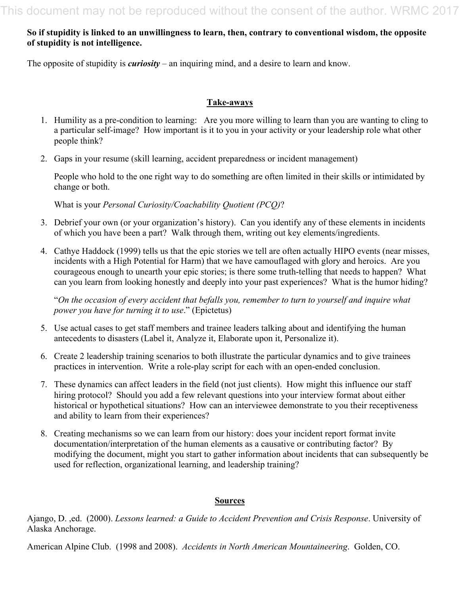#### **So if stupidity is linked to an unwillingness to learn, then, contrary to conventional wisdom, the opposite of stupidity is not intelligence.**

The opposite of stupidity is *curiosity* – an inquiring mind, and a desire to learn and know.

#### **Take-aways**

- 1. Humility as a pre-condition to learning: Are you more willing to learn than you are wanting to cling to a particular self-image? How important is it to you in your activity or your leadership role what other people think?
- 2. Gaps in your resume (skill learning, accident preparedness or incident management)

People who hold to the one right way to do something are often limited in their skills or intimidated by change or both.

What is your *Personal Curiosity/Coachability Quotient (PCQ)*?

- 3. Debrief your own (or your organization's history). Can you identify any of these elements in incidents of which you have been a part? Walk through them, writing out key elements/ingredients.
- 4. Cathye Haddock (1999) tells us that the epic stories we tell are often actually HIPO events (near misses, incidents with a High Potential for Harm) that we have camouflaged with glory and heroics. Are you courageous enough to unearth your epic stories; is there some truth-telling that needs to happen? What can you learn from looking honestly and deeply into your past experiences? What is the humor hiding?

"*On the occasion of every accident that befalls you, remember to turn to yourself and inquire what power you have for turning it to use*." (Epictetus)

- 5. Use actual cases to get staff members and trainee leaders talking about and identifying the human antecedents to disasters (Label it, Analyze it, Elaborate upon it, Personalize it).
- 6. Create 2 leadership training scenarios to both illustrate the particular dynamics and to give trainees practices in intervention. Write a role-play script for each with an open-ended conclusion.
- 7. These dynamics can affect leaders in the field (not just clients). How might this influence our staff hiring protocol? Should you add a few relevant questions into your interview format about either historical or hypothetical situations? How can an interviewee demonstrate to you their receptiveness and ability to learn from their experiences?
- 8. Creating mechanisms so we can learn from our history: does your incident report format invite documentation/interpretation of the human elements as a causative or contributing factor? By modifying the document, might you start to gather information about incidents that can subsequently be used for reflection, organizational learning, and leadership training?

#### **Sources**

Ajango, D. ,ed. (2000). *Lessons learned: a Guide to Accident Prevention and Crisis Response*. University of Alaska Anchorage.

American Alpine Club. (1998 and 2008). *Accidents in North American Mountaineering*. Golden, CO.